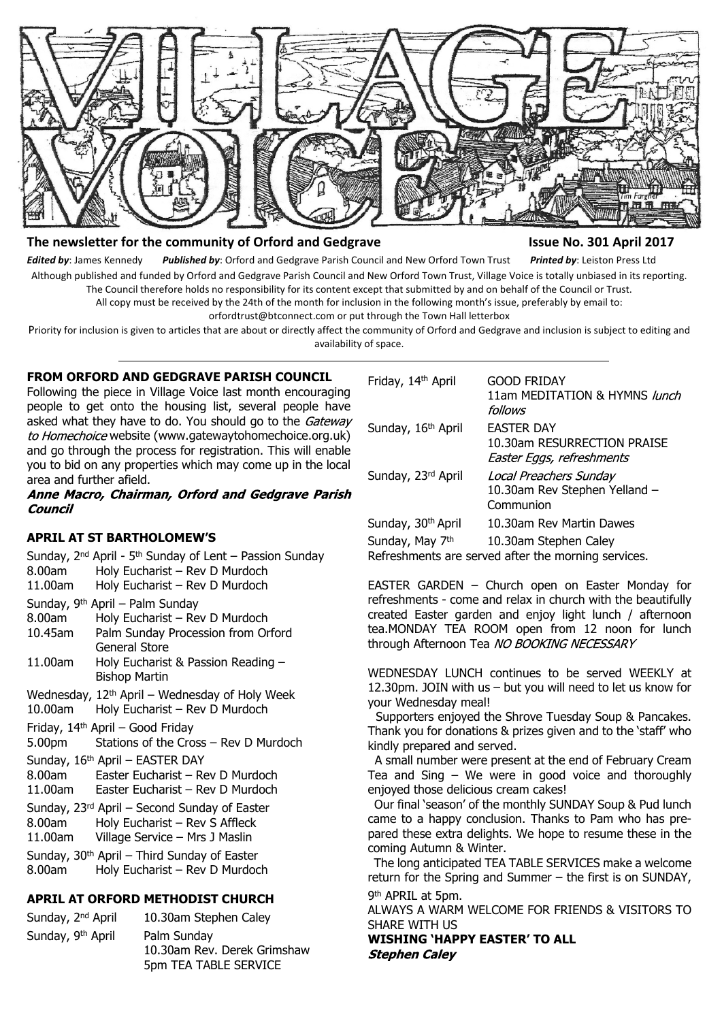

# The newsletter for the community of Orford and Gedgrave **Internal 2017** Issue No. 301 April 2017

*Edited by*: James Kennedy *Published by*: Orford and Gedgrave Parish Council and New Orford Town Trust *Printed by*: Leiston Press Ltd Although published and funded by Orford and Gedgrave Parish Council and New Orford Town Trust, Village Voice is totally unbiased in its reporting. The Council therefore holds no responsibility for its content except that submitted by and on behalf of the Council or Trust.

All copy must be received by the 24th of the month for inclusion in the following month's issue, preferably by email to:

orfordtrust@btconnect.com or put through the Town Hall letterbox Priority for inclusion is given to articles that are about or directly affect the community of Orford and Gedgrave and inclusion is subject to editing and

availability of space.

# **FROM ORFORD AND GEDGRAVE PARISH COUNCIL**

Following the piece in Village Voice last month encouraging people to get onto the housing list, several people have asked what they have to do. You should go to the Gateway to Homechoice website (www.gatewaytohomechoice.org.uk) and go through the process for registration. This will enable you to bid on any properties which may come up in the local area and further afield.

Anne Macro, Chairman, Orford and Gedgrave Parish **Council** 

## **APRIL AT ST BARTHOLOMEW'S**

- Sunday, 2nd April 5th Sunday of Lent Passion Sunday 8.00am Holy Eucharist – Rev D Murdoch 11.00am Holy Eucharist – Rev D Murdoch
- Sunday, 9th April Palm Sunday
- 8.00am Holy Eucharist Rev D Murdoch 10.45am Palm Sunday Procession from Orford General Store
- 11.00am Holy Eucharist & Passion Reading Bishop Martin

Wednesday,  $12^{th}$  April – Wednesday of Holy Week<br>10.00am Holy Eucharist – Rev D Murdoch

Holy Eucharist – Rev D Murdoch

Friday, 14th April – Good Friday

- 5.00pm Stations of the Cross Rev D Murdoch
- Sunday, 16<sup>th</sup> April EASTER DAY
- 8.00am Easter Eucharist Rev D Murdoch
- 11.00am Easter Eucharist Rev D Murdoch
- Sunday, 23rd April Second Sunday of Easter
- 8.00am Holy Eucharist Rev S Affleck
- 11.00am Village Service Mrs J Maslin

Sunday,  $30<sup>th</sup>$  April – Third Sunday of Easter

8.00am Holy Eucharist – Rev D Murdoch

# **APRIL AT ORFORD METHODIST CHURCH**

Sunday, 2<sup>nd</sup> April 10.30am Stephen Caley Sunday, 9<sup>th</sup> April Palm Sunday 10.30am Rev. Derek Grimshaw 5pm TEA TABLE SERVICE

| Friday, 14th April | <b>GOOD FRIDAY</b><br>11am MEDITATION & HYMNS lunch<br>follows                |
|--------------------|-------------------------------------------------------------------------------|
| Sunday, 16th April | <b>EASTER DAY</b><br>10.30am RESURRECTION PRAISE<br>Easter Eggs, refreshments |
| Sunday, 23rd April | Local Preachers Sunday<br>10.30am Rev Stephen Yelland -<br>Communion          |
| Sunday, 30th April | 10.30am Rev Martin Dawes                                                      |
| Sunday, May 7th    | 10.30am Stephen Caley<br>Refreshments are served after the morning services.  |

EASTER GARDEN – Church open on Easter Monday for refreshments - come and relax in church with the beautifully created Easter garden and enjoy light lunch / afternoon tea.MONDAY TEA ROOM open from 12 noon for lunch through Afternoon Tea NO BOOKING NECESSARY

WEDNESDAY LUNCH continues to be served WEEKLY at 12.30pm. JOIN with us – but you will need to let us know for your Wednesday meal!

 Supporters enjoyed the Shrove Tuesday Soup & Pancakes. Thank you for donations & prizes given and to the 'staff' who kindly prepared and served.

 A small number were present at the end of February Cream Tea and Sing – We were in good voice and thoroughly enjoyed those delicious cream cakes!

 Our final 'season' of the monthly SUNDAY Soup & Pud lunch came to a happy conclusion. Thanks to Pam who has prepared these extra delights. We hope to resume these in the coming Autumn & Winter.

 The long anticipated TEA TABLE SERVICES make a welcome return for the Spring and Summer – the first is on SUNDAY, 9<sup>th</sup> APRIL at 5pm.

ALWAYS A WARM WELCOME FOR FRIENDS & VISITORS TO SHARE WITH US

**WISHING 'HAPPY EASTER' TO ALL Stephen Caley**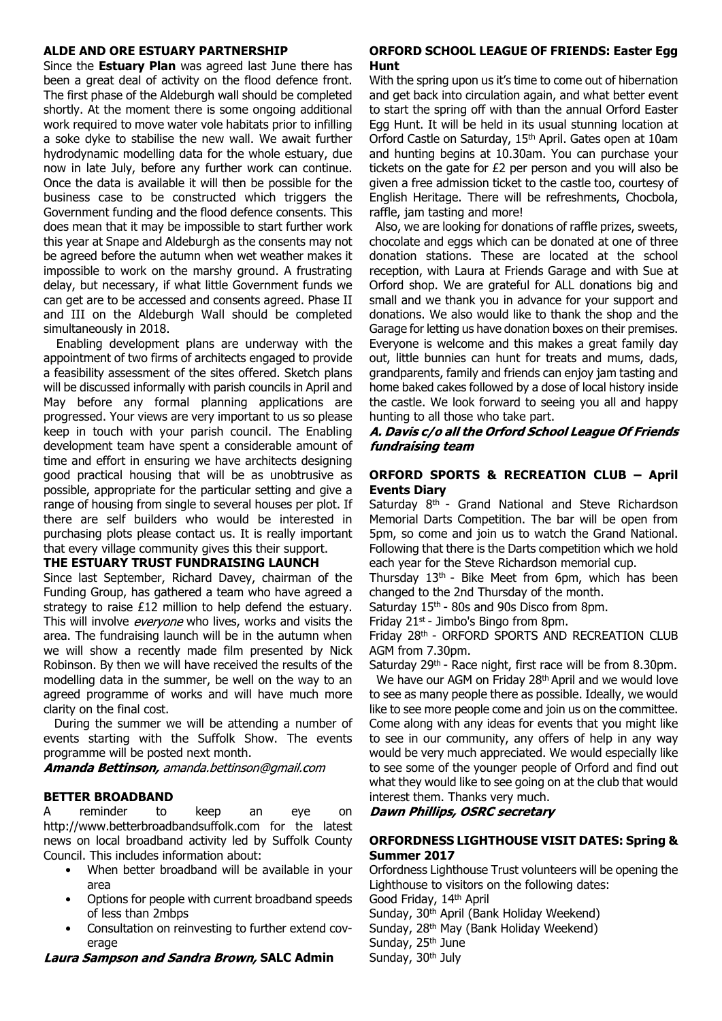#### **ALDE AND ORE ESTUARY PARTNERSHIP**

Since the **Estuary Plan** was agreed last June there has been a great deal of activity on the flood defence front. The first phase of the Aldeburgh wall should be completed shortly. At the moment there is some ongoing additional work required to move water vole habitats prior to infilling a soke dyke to stabilise the new wall. We await further hydrodynamic modelling data for the whole estuary, due now in late July, before any further work can continue. Once the data is available it will then be possible for the business case to be constructed which triggers the Government funding and the flood defence consents. This does mean that it may be impossible to start further work this year at Snape and Aldeburgh as the consents may not be agreed before the autumn when wet weather makes it impossible to work on the marshy ground. A frustrating delay, but necessary, if what little Government funds we can get are to be accessed and consents agreed. Phase II and III on the Aldeburgh Wall should be completed simultaneously in 2018.

Enabling development plans are underway with the appointment of two firms of architects engaged to provide a feasibility assessment of the sites offered. Sketch plans will be discussed informally with parish councils in April and May before any formal planning applications are progressed. Your views are very important to us so please keep in touch with your parish council. The Enabling development team have spent a considerable amount of time and effort in ensuring we have architects designing good practical housing that will be as unobtrusive as possible, appropriate for the particular setting and give a range of housing from single to several houses per plot. If there are self builders who would be interested in purchasing plots please contact us. It is really important that every village community gives this their support.

## **THE ESTUARY TRUST FUNDRAISING LAUNCH**

Since last September, Richard Davey, chairman of the Funding Group, has gathered a team who have agreed a strategy to raise £12 million to help defend the estuary. This will involve *evervone* who lives, works and visits the area. The fundraising launch will be in the autumn when we will show a recently made film presented by Nick Robinson. By then we will have received the results of the modelling data in the summer, be well on the way to an agreed programme of works and will have much more clarity on the final cost.

 During the summer we will be attending a number of events starting with the Suffolk Show. The events programme will be posted next month.

Amanda Bettinson, amanda.bettinson@gmail.com

## **BETTER BROADBAND**

A reminder to keep an eye on http://www.betterbroadbandsuffolk.com for the latest news on local broadband activity led by Suffolk County Council. This includes information about:

- When better broadband will be available in your area
- Options for people with current broadband speeds of less than 2mbps
- Consultation on reinvesting to further extend coverage

## **Laura Sampson and Sandra Brown, SALC Admin**

## **ORFORD SCHOOL LEAGUE OF FRIENDS: Easter Egg Hunt**

With the spring upon us it's time to come out of hibernation and get back into circulation again, and what better event to start the spring off with than the annual Orford Easter Egg Hunt. It will be held in its usual stunning location at Orford Castle on Saturday, 15th April. Gates open at 10am and hunting begins at 10.30am. You can purchase your tickets on the gate for £2 per person and you will also be given a free admission ticket to the castle too, courtesy of English Heritage. There will be refreshments, Chocbola, raffle, jam tasting and more!

 Also, we are looking for donations of raffle prizes, sweets, chocolate and eggs which can be donated at one of three donation stations. These are located at the school reception, with Laura at Friends Garage and with Sue at Orford shop. We are grateful for ALL donations big and small and we thank you in advance for your support and donations. We also would like to thank the shop and the Garage for letting us have donation boxes on their premises. Everyone is welcome and this makes a great family day out, little bunnies can hunt for treats and mums, dads, grandparents, family and friends can enjoy jam tasting and home baked cakes followed by a dose of local history inside the castle. We look forward to seeing you all and happy hunting to all those who take part.

#### A. Davis c/o all the Orford School League Of Friends fundraising team

## **ORFORD SPORTS & RECREATION CLUB – April Events Diary**

Saturday 8<sup>th</sup> - Grand National and Steve Richardson Memorial Darts Competition. The bar will be open from 5pm, so come and join us to watch the Grand National. Following that there is the Darts competition which we hold each year for the Steve Richardson memorial cup.

Thursday  $13<sup>th</sup>$  - Bike Meet from 6pm, which has been changed to the 2nd Thursday of the month.

Saturday 15<sup>th</sup> - 80s and 90s Disco from 8pm.

Friday 21st - Jimbo's Bingo from 8pm.

Friday 28th - ORFORD SPORTS AND RECREATION CLUB AGM from 7.30pm.

Saturday 29<sup>th</sup> - Race night, first race will be from 8.30pm.

 We have our AGM on Friday 28th April and we would love to see as many people there as possible. Ideally, we would like to see more people come and join us on the committee. Come along with any ideas for events that you might like to see in our community, any offers of help in any way would be very much appreciated. We would especially like to see some of the younger people of Orford and find out what they would like to see going on at the club that would interest them. Thanks very much.

#### **Dawn Phillips, OSRC secretary**

#### **ORFORDNESS LIGHTHOUSE VISIT DATES: Spring & Summer 2017**

Orfordness Lighthouse Trust volunteers will be opening the Lighthouse to visitors on the following dates: Good Friday, 14th April Sunday, 30<sup>th</sup> April (Bank Holiday Weekend)

Sunday, 28<sup>th</sup> May (Bank Holiday Weekend)

Sunday, 25<sup>th</sup> June

Sunday, 30<sup>th</sup> July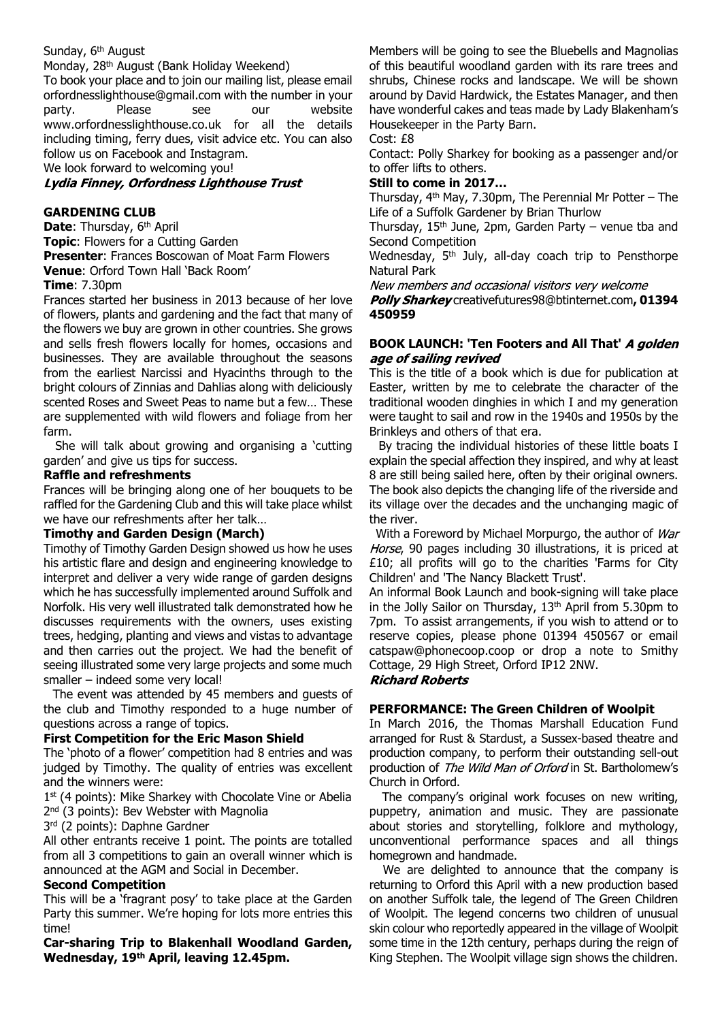## Sunday, 6<sup>th</sup> August

Monday, 28th August (Bank Holiday Weekend)

To book your place and to join our mailing list, please email orfordnesslighthouse@gmail.com with the number in your party. Please see our website www.orfordnesslighthouse.co.uk for all the details including timing, ferry dues, visit advice etc. You can also follow us on Facebook and Instagram.

We look forward to welcoming you!

#### Lydia Finney, Orfordness Lighthouse Trust

#### **GARDENING CLUB**

**Date: Thursday, 6th April Topic**: Flowers for a Cutting Garden **Presenter**: Frances Boscowan of Moat Farm Flowers **Venue**: Orford Town Hall 'Back Room'

# **Time**: 7.30pm

Frances started her business in 2013 because of her love of flowers, plants and gardening and the fact that many of the flowers we buy are grown in other countries. She grows and sells fresh flowers locally for homes, occasions and businesses. They are available throughout the seasons from the earliest Narcissi and Hyacinths through to the bright colours of Zinnias and Dahlias along with deliciously scented Roses and Sweet Peas to name but a few… These are supplemented with wild flowers and foliage from her farm.

 She will talk about growing and organising a 'cutting garden' and give us tips for success.

#### **Raffle and refreshments**

Frances will be bringing along one of her bouquets to be raffled for the Gardening Club and this will take place whilst we have our refreshments after her talk…

#### **Timothy and Garden Design (March)**

Timothy of Timothy Garden Design showed us how he uses his artistic flare and design and engineering knowledge to interpret and deliver a very wide range of garden designs which he has successfully implemented around Suffolk and Norfolk. His very well illustrated talk demonstrated how he discusses requirements with the owners, uses existing trees, hedging, planting and views and vistas to advantage and then carries out the project. We had the benefit of seeing illustrated some very large projects and some much smaller – indeed some very local!

 The event was attended by 45 members and guests of the club and Timothy responded to a huge number of questions across a range of topics.

#### **First Competition for the Eric Mason Shield**

The 'photo of a flower' competition had 8 entries and was judged by Timothy. The quality of entries was excellent and the winners were:

1 st (4 points): Mike Sharkey with Chocolate Vine or Abelia 2<sup>nd</sup> (3 points): Bev Webster with Magnolia

3 rd (2 points): Daphne Gardner

All other entrants receive 1 point. The points are totalled from all 3 competitions to gain an overall winner which is announced at the AGM and Social in December.

## **Second Competition**

This will be a 'fragrant posy' to take place at the Garden Party this summer. We're hoping for lots more entries this time!

**Car-sharing Trip to Blakenhall Woodland Garden, Wednesday, 19th April, leaving 12.45pm.**

Members will be going to see the Bluebells and Magnolias of this beautiful woodland garden with its rare trees and shrubs, Chinese rocks and landscape. We will be shown around by David Hardwick, the Estates Manager, and then have wonderful cakes and teas made by Lady Blakenham's Housekeeper in the Party Barn.

Cost: £8

Contact: Polly Sharkey for booking as a passenger and/or to offer lifts to others.

#### **Still to come in 2017…**

Thursday, 4th May, 7.30pm, The Perennial Mr Potter – The Life of a Suffolk Gardener by Brian Thurlow

Thursday,  $15<sup>th</sup>$  June, 2pm, Garden Party – venue tba and Second Competition

Wednesday, 5<sup>th</sup> July, all-day coach trip to Pensthorpe Natural Park

New members and occasional visitors very welcome

Polly Sharkey creativefutures98@btinternet.com, 01394 **450959**

#### **BOOK LAUNCH: 'Ten Footers and All That'**  age of sailing revived

This is the title of a book which is due for publication at Easter, written by me to celebrate the character of the traditional wooden dinghies in which I and my generation were taught to sail and row in the 1940s and 1950s by the Brinkleys and others of that era.

 By tracing the individual histories of these little boats I explain the special affection they inspired, and why at least 8 are still being sailed here, often by their original owners. The book also depicts the changing life of the riverside and its village over the decades and the unchanging magic of the river.

With a Foreword by Michael Morpurgo, the author of War Horse, 90 pages including 30 illustrations, it is priced at £10; all profits will go to the charities 'Farms for City Children' and 'The Nancy Blackett Trust'.

An informal Book Launch and book-signing will take place in the Jolly Sailor on Thursday, 13<sup>th</sup> April from 5.30pm to 7pm. To assist arrangements, if you wish to attend or to reserve copies, please phone 01394 450567 or email catspaw@phonecoop.coop or drop a note to Smithy Cottage, 29 High Street, Orford IP12 2NW.

#### **Richard Roberts**

#### **PERFORMANCE: The Green Children of Woolpit**

In March 2016, the Thomas Marshall Education Fund arranged for Rust & Stardust, a Sussex-based theatre and production company, to perform their outstanding sell-out production of The Wild Man of Orford in St. Bartholomew's Church in Orford.

 The company's original work focuses on new writing, puppetry, animation and music. They are passionate about stories and storytelling, folklore and mythology, unconventional performance spaces and all things homegrown and handmade.

 We are delighted to announce that the company is returning to Orford this April with a new production based on another Suffolk tale, the legend of The Green Children of Woolpit. The legend concerns two children of unusual skin colour who reportedly appeared in the village of Woolpit some time in the 12th century, perhaps during the reign of King Stephen. The Woolpit village sign shows the children.